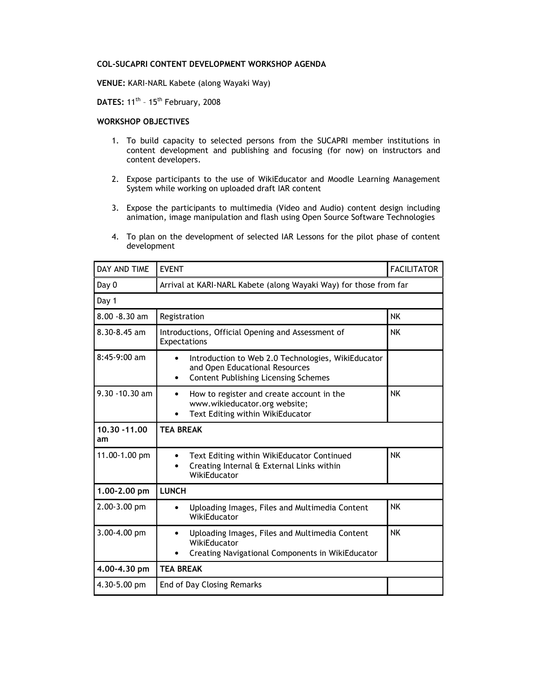## COL-SUCAPRI CONTENT DEVELOPMENT WORKSHOP AGENDA

VENUE: KARI-NARL Kabete (along Wayaki Way)

DATES:  $11^{\text{th}}$  -  $15^{\text{th}}$  February, 2008

## WORKSHOP OBJECTIVES

- 1. To build capacity to selected persons from the SUCAPRI member institutions in content development and publishing and focusing (for now) on instructors and content developers.
- 2. Expose participants to the use of WikiEducator and Moodle Learning Management System while working on uploaded draft IAR content
- 3. Expose the participants to multimedia (Video and Audio) content design including animation, image manipulation and flash using Open Source Software Technologies
- 4. To plan on the development of selected IAR Lessons for the pilot phase of content development

| DAY AND TIME        | <b>EVENT</b>                                                                                                                                                  | <b>FACILITATOR</b> |
|---------------------|---------------------------------------------------------------------------------------------------------------------------------------------------------------|--------------------|
| Day 0               | Arrival at KARI-NARL Kabete (along Wayaki Way) for those from far                                                                                             |                    |
| Day 1               |                                                                                                                                                               |                    |
| 8.00 - 8.30 am      | Registration                                                                                                                                                  | <b>NK</b>          |
| $8.30 - 8.45$ am    | Introductions, Official Opening and Assessment of<br>Expectations                                                                                             | <b>NK</b>          |
| 8:45-9:00 am        | Introduction to Web 2.0 Technologies, WikiEducator<br>$\bullet$<br>and Open Educational Resources<br><b>Content Publishing Licensing Schemes</b><br>$\bullet$ |                    |
| $9.30 - 10.30$ am   | How to register and create account in the<br>$\bullet$<br>www.wikieducator.org website;<br>Text Editing within WikiEducator                                   | <b>NK</b>          |
| 10.30 - 11.00<br>am | <b>TEA BREAK</b>                                                                                                                                              |                    |
| 11.00-1.00 pm       | Text Editing within WikiEducator Continued<br>$\bullet$<br>Creating Internal & External Links within<br>$\bullet$<br>WikiEducator                             | <b>NK</b>          |
| 1.00-2.00 pm        | <b>LUNCH</b>                                                                                                                                                  |                    |
| 2.00-3.00 pm        | Uploading Images, Files and Multimedia Content<br>WikiEducator                                                                                                | <b>NK</b>          |
| 3.00-4.00 pm        | Uploading Images, Files and Multimedia Content<br>WikiEducator<br>Creating Navigational Components in WikiEducator                                            | <b>NK</b>          |
| 4.00-4.30 pm        | <b>TEA BREAK</b>                                                                                                                                              |                    |
| 4.30-5.00 pm        | <b>End of Day Closing Remarks</b>                                                                                                                             |                    |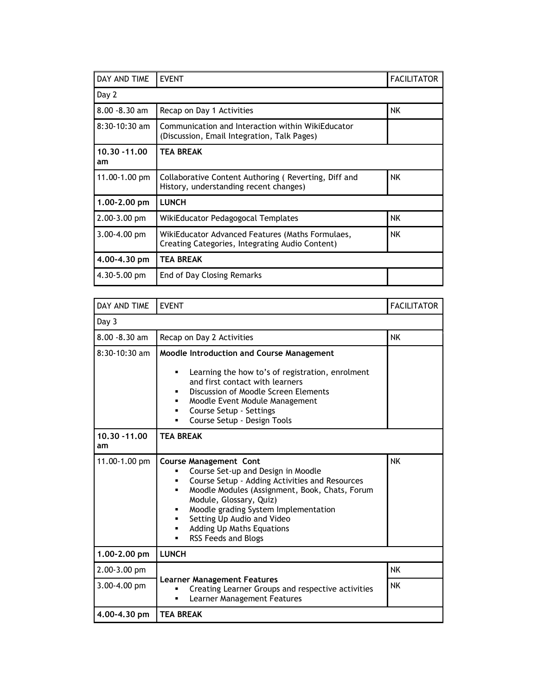| DAY AND TIME        | <b>EVENT</b>                                                                                        | <b>FACILITATOR</b> |  |
|---------------------|-----------------------------------------------------------------------------------------------------|--------------------|--|
| Day 2               |                                                                                                     |                    |  |
| $8.00 - 8.30$ am    | Recap on Day 1 Activities                                                                           | NK.                |  |
| $8:30-10:30$ am     | Communication and Interaction within WikiEducator<br>(Discussion, Email Integration, Talk Pages)    |                    |  |
| 10.30 - 11.00<br>am | <b>TEA BREAK</b>                                                                                    |                    |  |
| $11.00 - 1.00$ pm   | Collaborative Content Authoring (Reverting, Diff and<br>History, understanding recent changes)      | NK.                |  |
| 1.00-2.00 pm        | <b>LUNCH</b>                                                                                        |                    |  |
| $2.00 - 3.00$ pm    | WikiEducator Pedagogocal Templates                                                                  | NK.                |  |
| $3.00 - 4.00$ pm    | WikiEducator Advanced Features (Maths Formulaes,<br>Creating Categories, Integrating Audio Content) | NK.                |  |
| 4,00-4,30 pm        | <b>TEA BREAK</b>                                                                                    |                    |  |
| $4.30 - 5.00$ pm    | End of Day Closing Remarks                                                                          |                    |  |

| DAY AND TIME        | <b>EVENT</b>                                                                                                                                                                                                                                                                                                                                       | <b>FACILITATOR</b> |
|---------------------|----------------------------------------------------------------------------------------------------------------------------------------------------------------------------------------------------------------------------------------------------------------------------------------------------------------------------------------------------|--------------------|
| Day 3               |                                                                                                                                                                                                                                                                                                                                                    |                    |
| 8.00 - 8.30 am      | Recap on Day 2 Activities                                                                                                                                                                                                                                                                                                                          | <b>NK</b>          |
| $8:30-10:30$ am     | Moodle Introduction and Course Management<br>Learning the how to's of registration, enrolment<br>٠<br>and first contact with learners<br>Discussion of Moodle Screen Elements<br>Moodle Event Module Management<br>▪<br>Course Setup - Settings<br>٠<br>Course Setup - Design Tools<br>٠                                                           |                    |
| 10.30 - 11.00<br>am | <b>TEA BREAK</b>                                                                                                                                                                                                                                                                                                                                   |                    |
| 11.00-1.00 pm       | <b>Course Management Cont</b><br>Course Set-up and Design in Moodle<br>Course Setup - Adding Activities and Resources<br>Moodle Modules (Assignment, Book, Chats, Forum<br>▪<br>Module, Glossary, Quiz)<br>Moodle grading System Implementation<br>Setting Up Audio and Video<br>٠<br><b>Adding Up Maths Equations</b><br>RSS Feeds and Blogs<br>٠ | <b>NK</b>          |
| 1.00-2.00 pm        | <b>LUNCH</b>                                                                                                                                                                                                                                                                                                                                       |                    |
| 2.00-3.00 pm        |                                                                                                                                                                                                                                                                                                                                                    | <b>NK</b>          |
| 3.00-4.00 pm        | <b>Learner Management Features</b><br>Creating Learner Groups and respective activities<br>Learner Management Features<br>٠                                                                                                                                                                                                                        | <b>NK</b>          |
| 4.00-4.30 pm        | <b>TEA BREAK</b>                                                                                                                                                                                                                                                                                                                                   |                    |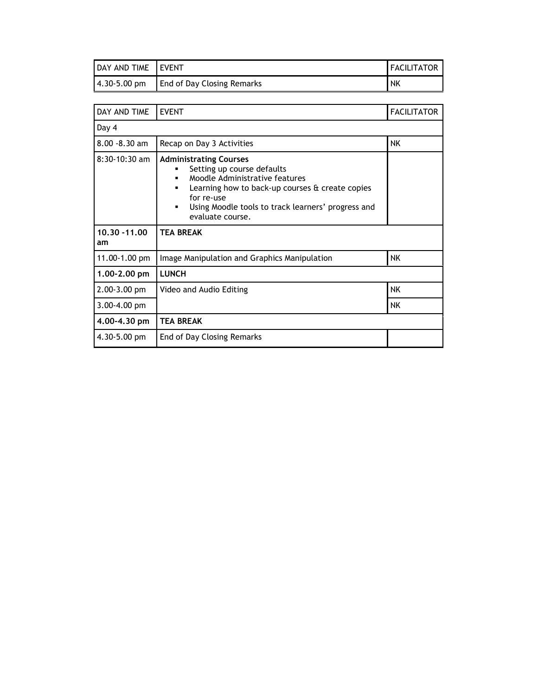| DAY AND TIME LEVENT |                                   | <b>I FACILITATOR I</b> |
|---------------------|-----------------------------------|------------------------|
| 4.30-5.00 pm        | <b>End of Day Closing Remarks</b> | <b>NK</b>              |

| DAY AND TIME        | <b>EVENT</b>                                                                                                                                                                                                                                               | <b>FACILITATOR</b> |
|---------------------|------------------------------------------------------------------------------------------------------------------------------------------------------------------------------------------------------------------------------------------------------------|--------------------|
| Day 4               |                                                                                                                                                                                                                                                            |                    |
| $8.00 - 8.30$ am    | Recap on Day 3 Activities                                                                                                                                                                                                                                  | ΝK                 |
| $8:30-10:30$ am     | <b>Administrating Courses</b><br>Setting up course defaults<br>Moodle Administrative features<br>$\blacksquare$<br>Learning how to back-up courses & create copies<br>for re-use<br>Using Moodle tools to track learners' progress and<br>evaluate course. |                    |
|                     | <b>TEA BREAK</b>                                                                                                                                                                                                                                           |                    |
| 10.30 - 11.00<br>am |                                                                                                                                                                                                                                                            |                    |
| 11.00-1.00 pm       | Image Manipulation and Graphics Manipulation                                                                                                                                                                                                               | NK.                |
| 1.00-2.00 pm        | <b>LUNCH</b>                                                                                                                                                                                                                                               |                    |
| $2.00 - 3.00$ pm    | Video and Audio Editing                                                                                                                                                                                                                                    | NK                 |
| 3.00-4.00 pm        |                                                                                                                                                                                                                                                            | NK.                |
| 4.00-4.30 pm        | <b>TEA BREAK</b>                                                                                                                                                                                                                                           |                    |